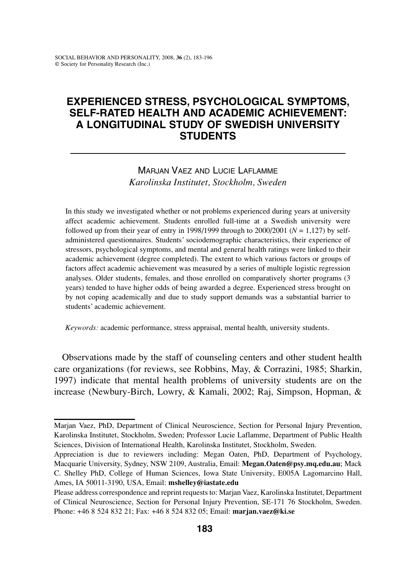# **Experienced stress, psychological symptoms, self-rated health and academic achievement: a longitudinal study of Swedish university students**

# Marjan Vaez and Lucie Laflamme *Karolinska Institutet, Stockholm, Sweden*

In this study we investigated whether or not problems experienced during years at university affect academic achievement. Students enrolled full-time at a Swedish university were followed up from their year of entry in 1998/1999 through to  $2000/2001$  ( $N = 1,127$ ) by selfadministered questionnaires. Students' sociodemographic characteristics, their experience of stressors, psychological symptoms, and mental and general health ratings were linked to their academic achievement (degree completed). The extent to which various factors or groups of factors affect academic achievement was measured by a series of multiple logistic regression analyses. Older students, females, and those enrolled on comparatively shorter programs (3 years) tended to have higher odds of being awarded a degree. Experienced stress brought on by not coping academically and due to study support demands was a substantial barrier to students' academic achievement.

*Keywords:* academic performance, stress appraisal, mental health, university students.

Observations made by the staff of counseling centers and other student health care organizations (for reviews, see Robbins, May, & Corrazini, 1985; Sharkin, 1997) indicate that mental health problems of university students are on the increase (Newbury-Birch, Lowry, & Kamali, 2002; Raj, Simpson, Hopman, &

Marjan Vaez, PhD, Department of Clinical Neuroscience, Section for Personal Injury Prevention, Karolinska Institutet, Stockholm, Sweden; Professor Lucie Laflamme, Department of Public Health Sciences, Division of International Health, Karolinska Institutet, Stockholm, Sweden.

Appreciation is due to reviewers including: Megan Oaten, PhD, Department of Psychology, Macquarie University, Sydney, NSW 2109, Australia, Email: **Megan.Oaten@psy.mq.edu.au**; Mack C. Shelley PhD, College of Human Sciences, Iowa State University, E005A Lagomarcino Hall, Ames, IA 50011-3190, USA, Email: **mshelley@iastate.edu**

Please address correspondence and reprint requests to: Marjan Vaez, Karolinska Institutet, Department of Clinical Neuroscience, Section for Personal Injury Prevention, SE-171 76 Stockholm, Sweden. Phone: +46 8 524 832 21; Fax: +46 8 524 832 05; Email: **marjan.vaez@ki.se**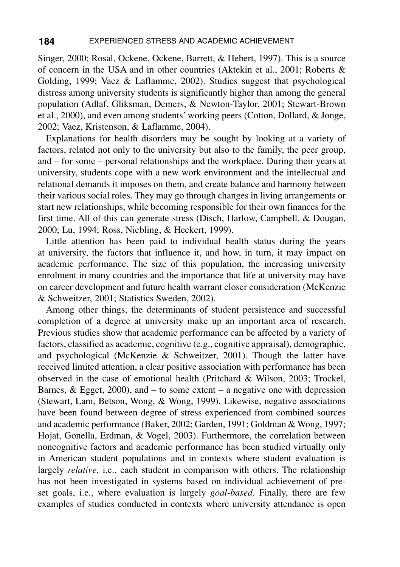Singer, 2000; Rosal, Ockene, Ockene, Barrett, & Hebert, 1997). This is a source of concern in the USA and in other countries (Aktekin et al., 2001; Roberts & Golding, 1999; Vaez & Laflamme, 2002). Studies suggest that psychological distress among university students is significantly higher than among the general population (Adlaf, Gliksman, Demers, & Newton-Taylor, 2001; Stewart-Brown et al., 2000), and even among students' working peers (Cotton, Dollard, & Jonge, 2002; Vaez, Kristenson, & Laflamme, 2004).

Explanations for health disorders may be sought by looking at a variety of factors, related not only to the university but also to the family, the peer group, and – for some – personal relationships and the workplace. During their years at university, students cope with a new work environment and the intellectual and relational demands it imposes on them, and create balance and harmony between their various social roles. They may go through changes in living arrangements or start new relationships, while becoming responsible for their own finances for the first time. All of this can generate stress (Disch, Harlow, Campbell, & Dougan, 2000; Lu, 1994; Ross, Niebling, & Heckert, 1999).

Little attention has been paid to individual health status during the years at university, the factors that influence it, and how, in turn, it may impact on academic performance. The size of this population, the increasing university enrolment in many countries and the importance that life at university may have on career development and future health warrant closer consideration (McKenzie & Schweitzer, 2001; Statistics Sweden, 2002).

Among other things, the determinants of student persistence and successful completion of a degree at university make up an important area of research. Previous studies show that academic performance can be affected by a variety of factors, classified as academic, cognitive (e.g., cognitive appraisal), demographic, and psychological (McKenzie & Schweitzer, 2001). Though the latter have received limited attention, a clear positive association with performance has been observed in the case of emotional health (Pritchard & Wilson, 2003; Trockel, Barnes,  $\&$  Egget, 2000), and – to some extent – a negative one with depression (Stewart, Lam, Betson, Wong, & Wong, 1999). Likewise, negative associations have been found between degree of stress experienced from combined sources and academic performance (Baker, 2002; Garden, 1991; Goldman & Wong, 1997; Hojat, Gonella, Erdman, & Vogel, 2003). Furthermore, the correlation between noncognitive factors and academic performance has been studied virtually only in American student populations and in contexts where student evaluation is largely *relative*, i.e., each student in comparison with others. The relationship has not been investigated in systems based on individual achievement of preset goals, i.e., where evaluation is largely *goal-based*. Finally, there are few examples of studies conducted in contexts where university attendance is open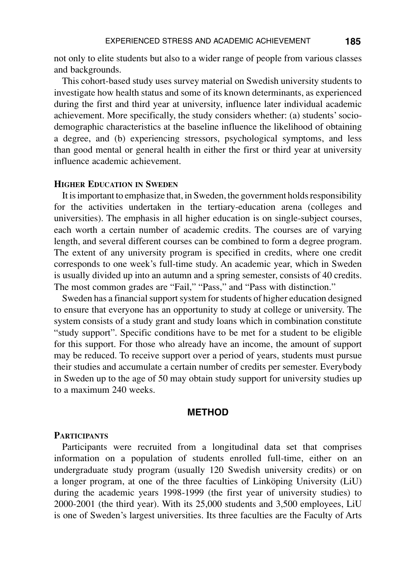not only to elite students but also to a wider range of people from various classes and backgrounds.

This cohort-based study uses survey material on Swedish university students to investigate how health status and some of its known determinants, as experienced during the first and third year at university, influence later individual academic achievement. More specifically, the study considers whether: (a) students' sociodemographic characteristics at the baseline influence the likelihood of obtaining a degree, and (b) experiencing stressors, psychological symptoms, and less than good mental or general health in either the first or third year at university influence academic achievement.

## **Higher Education in Sweden**

It is important to emphasize that, in Sweden, the government holds responsibility for the activities undertaken in the tertiary-education arena (colleges and universities). The emphasis in all higher education is on single-subject courses, each worth a certain number of academic credits. The courses are of varying length, and several different courses can be combined to form a degree program. The extent of any university program is specified in credits, where one credit corresponds to one week's full-time study. An academic year, which in Sweden is usually divided up into an autumn and a spring semester, consists of 40 credits. The most common grades are "Fail," "Pass," and "Pass with distinction."

Sweden has a financial support system for students of higher education designed to ensure that everyone has an opportunity to study at college or university. The system consists of a study grant and study loans which in combination constitute "study support". Specific conditions have to be met for a student to be eligible for this support. For those who already have an income, the amount of support may be reduced. To receive support over a period of years, students must pursue their studies and accumulate a certain number of credits per semester. Everybody in Sweden up to the age of 50 may obtain study support for university studies up to a maximum 240 weeks.

### **METHOD**

#### **Participants**

Participants were recruited from a longitudinal data set that comprises information on a population of students enrolled full-time, either on an undergraduate study program (usually 120 Swedish university credits) or on a longer program, at one of the three faculties of Linköping University (LiU) during the academic years 1998-1999 (the first year of university studies) to 2000-2001 (the third year). With its 25,000 students and 3,500 employees, LiU is one of Sweden's largest universities. Its three faculties are the Faculty of Arts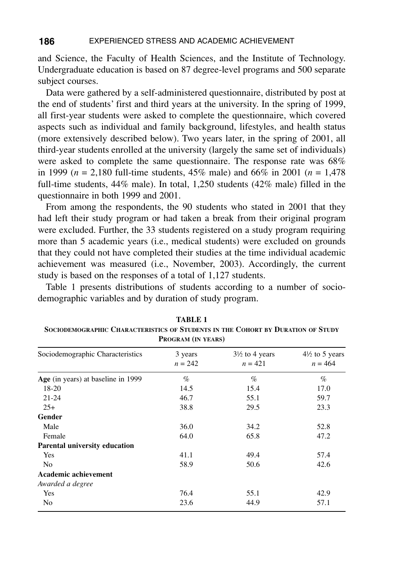and Science, the Faculty of Health Sciences, and the Institute of Technology. Undergraduate education is based on 87 degree-level programs and 500 separate subject courses.

Data were gathered by a self-administered questionnaire, distributed by post at the end of students' first and third years at the university. In the spring of 1999, all first-year students were asked to complete the questionnaire, which covered aspects such as individual and family background, lifestyles, and health status (more extensively described below). Two years later, in the spring of 2001, all third-year students enrolled at the university (largely the same set of individuals) were asked to complete the same questionnaire. The response rate was 68% in 1999 (*n* = 2,180 full-time students, 45% male) and 66% in 2001 (*n* = 1,478 full-time students, 44% male). In total, 1,250 students (42% male) filled in the questionnaire in both 1999 and 2001.

From among the respondents, the 90 students who stated in 2001 that they had left their study program or had taken a break from their original program were excluded. Further, the 33 students registered on a study program requiring more than 5 academic years (i.e., medical students) were excluded on grounds that they could not have completed their studies at the time individual academic achievement was measured (i.e., November, 2003). Accordingly, the current study is based on the responses of a total of 1,127 students.

Table 1 presents distributions of students according to a number of sociodemographic variables and by duration of study program.

| PROGRAM (IN YEARS)                 |                      |                                        |                                        |  |
|------------------------------------|----------------------|----------------------------------------|----------------------------------------|--|
| Sociodemographic Characteristics   | 3 years<br>$n = 242$ | $3\frac{1}{2}$ to 4 years<br>$n = 421$ | $4\frac{1}{2}$ to 5 years<br>$n = 464$ |  |
| Age (in years) at baseline in 1999 | $\%$                 | $\%$                                   | $\%$                                   |  |
| $18-20$                            | 14.5                 | 15.4                                   | 17.0                                   |  |
| $21 - 24$                          | 46.7                 | 55.1                                   | 59.7                                   |  |
| $25+$                              | 38.8                 | 29.5                                   | 23.3                                   |  |
| Gender                             |                      |                                        |                                        |  |
| Male                               | 36.0                 | 34.2                                   | 52.8                                   |  |
| Female                             | 64.0                 | 65.8                                   | 47.2                                   |  |
| Parental university education      |                      |                                        |                                        |  |
| Yes                                | 41.1                 | 49.4                                   | 57.4                                   |  |
| No                                 | 58.9                 | 50.6                                   | 42.6                                   |  |
| <b>Academic achievement</b>        |                      |                                        |                                        |  |
| Awarded a degree                   |                      |                                        |                                        |  |
| Yes                                | 76.4                 | 55.1                                   | 42.9                                   |  |
| No                                 | 23.6                 | 44.9                                   | 57.1                                   |  |

**Table 1 Sociodemographic Characteristics of Students in the Cohort by Duration of Study**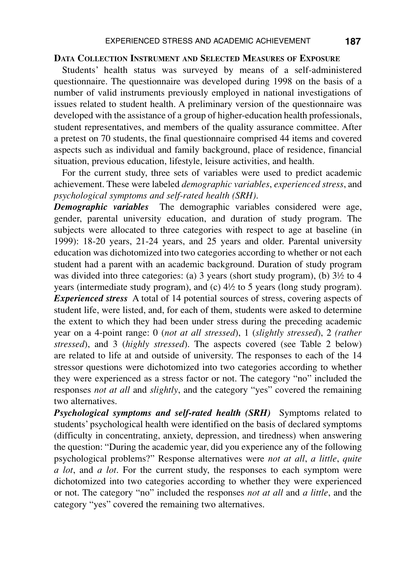## **Data Collection Instrument and Selected Measures of Exposure**

Students' health status was surveyed by means of a self-administered questionnaire. The questionnaire was developed during 1998 on the basis of a number of valid instruments previously employed in national investigations of issues related to student health. A preliminary version of the questionnaire was developed with the assistance of a group of higher-education health professionals, student representatives, and members of the quality assurance committee. After a pretest on 70 students, the final questionnaire comprised 44 items and covered aspects such as individual and family background, place of residence, financial situation, previous education, lifestyle, leisure activities, and health.

For the current study, three sets of variables were used to predict academic achievement. These were labeled *demographic variables*, *experienced stress*, and *psychological symptoms and self-rated health (SRH)*.

*Demographic variables* The demographic variables considered were age, gender, parental university education, and duration of study program. The subjects were allocated to three categories with respect to age at baseline (in 1999): 18-20 years, 21-24 years, and 25 years and older. Parental university education was dichotomized into two categories according to whether or not each student had a parent with an academic background. Duration of study program was divided into three categories: (a) 3 years (short study program), (b) 3½ to 4 years (intermediate study program), and (c) 4½ to 5 years (long study program). *Experienced stress* A total of 14 potential sources of stress, covering aspects of student life, were listed, and, for each of them, students were asked to determine the extent to which they had been under stress during the preceding academic year on a 4-point range: 0 (*not at all stressed*), 1 (*slightly stressed*), 2 *(rather stressed*), and 3 (*highly stressed*). The aspects covered (see Table 2 below) are related to life at and outside of university. The responses to each of the 14 stressor questions were dichotomized into two categories according to whether they were experienced as a stress factor or not. The category "no" included the responses *not at all* and *slightly*, and the category "yes" covered the remaining two alternatives.

*Psychological symptoms and self-rated health (SRH)* Symptoms related to students' psychological health were identified on the basis of declared symptoms (difficulty in concentrating, anxiety, depression, and tiredness) when answering the question: "During the academic year, did you experience any of the following psychological problems?" Response alternatives were *not at all*, *a little*, *quite a lot*, and *a lot*. For the current study, the responses to each symptom were dichotomized into two categories according to whether they were experienced or not. The category "no" included the responses *not at all* and *a little*, and the category "yes" covered the remaining two alternatives.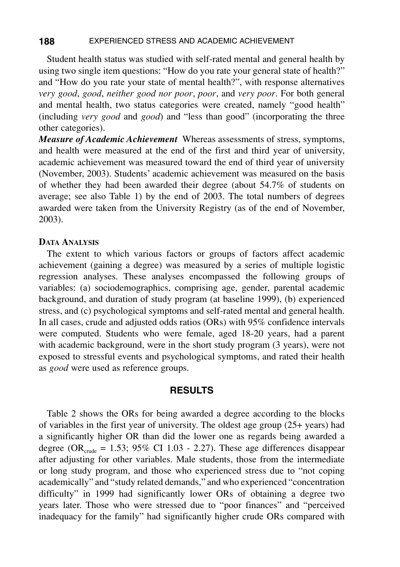Student health status was studied with self-rated mental and general health by using two single item questions: "How do you rate your general state of health?" and "How do you rate your state of mental health?", with response alternatives *very good*, *good*, *neither good nor poor*, *poor*, and *very poor*. For both general and mental health, two status categories were created, namely "good health" (including *very good* and *good*) and "less than good" (incorporating the three other categories).

*Measure of Academic Achievement* Whereas assessments of stress, symptoms, and health were measured at the end of the first and third year of university, academic achievement was measured toward the end of third year of university (November, 2003). Students' academic achievement was measured on the basis of whether they had been awarded their degree (about 54.7% of students on average; see also Table 1) by the end of 2003. The total numbers of degrees awarded were taken from the University Registry (as of the end of November, 2003).

#### **Data Analysis**

The extent to which various factors or groups of factors affect academic achievement (gaining a degree) was measured by a series of multiple logistic regression analyses. These analyses encompassed the following groups of variables: (a) sociodemographics, comprising age, gender, parental academic background, and duration of study program (at baseline 1999), (b) experienced stress, and (c) psychological symptoms and self-rated mental and general health. In all cases, crude and adjusted odds ratios (ORs) with 95% confidence intervals were computed. Students who were female, aged 18-20 years, had a parent with academic background, were in the short study program (3 years), were not exposed to stressful events and psychological symptoms, and rated their health as *good* were used as reference groups.

### **RESULTS**

Table 2 shows the ORs for being awarded a degree according to the blocks of variables in the first year of university. The oldest age group (25+ years) had a significantly higher OR than did the lower one as regards being awarded a degree (OR<sub>crude</sub> = 1.53; 95% CI 1.03 - 2.27). These age differences disappear after adjusting for other variables. Male students, those from the intermediate or long study program, and those who experienced stress due to "not coping academically" and "study related demands," and who experienced "concentration difficulty" in 1999 had significantly lower ORs of obtaining a degree two years later. Those who were stressed due to "poor finances" and "perceived inadequacy for the family" had significantly higher crude ORs compared with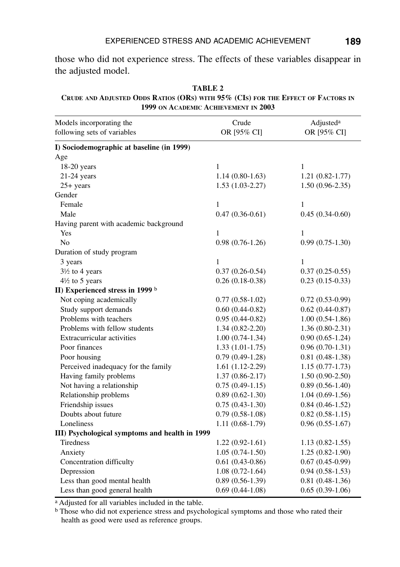those who did not experience stress. The effects of these variables disappear in the adjusted model.

| TABLE 2                                                                          |
|----------------------------------------------------------------------------------|
| CRUDE AND ADJUSTED ODDS RATIOS (ORS) WITH 95% (CIS) FOR THE EFFECT OF FACTORS IN |
| <b>1999 ON ACADEMIC ACHIEVEMENT IN 2003</b>                                      |

| Models incorporating the<br>following sets of variables | Crude<br>OR [95% CI] | Adjusted <sup>a</sup><br>OR [95% CI] |
|---------------------------------------------------------|----------------------|--------------------------------------|
| I) Sociodemographic at baseline (in 1999)               |                      |                                      |
| Age                                                     |                      |                                      |
| $18-20$ years                                           | 1                    | 1                                    |
| 21-24 years                                             | $1.14(0.80-1.63)$    | $1.21(0.82 - 1.77)$                  |
| $25+$ years                                             | $1.53(1.03-2.27)$    | $1.50(0.96-2.35)$                    |
| Gender                                                  |                      |                                      |
| Female                                                  | 1                    | 1                                    |
| Male                                                    | $0.47(0.36-0.61)$    | $0.45(0.34-0.60)$                    |
| Having parent with academic background                  |                      |                                      |
| Yes                                                     | 1                    | 1                                    |
| N <sub>0</sub>                                          | $0.98(0.76-1.26)$    | $0.99(0.75-1.30)$                    |
| Duration of study program                               |                      |                                      |
| 3 years                                                 | $\mathbf{1}$         | $\mathbf{1}$                         |
| $3\frac{1}{2}$ to 4 years                               | $0.37(0.26-0.54)$    | $0.37(0.25-0.55)$                    |
| $4\frac{1}{2}$ to 5 years                               | $0.26(0.18-0.38)$    | $0.23(0.15-0.33)$                    |
| II) Experienced stress in 1999 b                        |                      |                                      |
| Not coping academically                                 | $0.77(0.58-1.02)$    | $0.72(0.53-0.99)$                    |
| Study support demands                                   | $0.60(0.44-0.82)$    | $0.62(0.44-0.87)$                    |
| Problems with teachers                                  | $0.95(0.44-0.82)$    | $1.00(0.54-1.86)$                    |
| Problems with fellow students                           | $1.34(0.82 - 2.20)$  | $1.36(0.80-2.31)$                    |
| <b>Extracurricular activities</b>                       | $1.00(0.74-1.34)$    | $0.90(0.65-1.24)$                    |
| Poor finances                                           | $1.33(1.01-1.75)$    | $0.96(0.70-1.31)$                    |
| Poor housing                                            | $0.79(0.49-1.28)$    | $0.81(0.48-1.38)$                    |
| Perceived inadequacy for the family                     | $1.61(1.12-2.29)$    | $1.15(0.77-1.73)$                    |
| Having family problems                                  | $1.37(0.86-2.17)$    | $1.50(0.90-2.50)$                    |
| Not having a relationship                               | $0.75(0.49-1.15)$    | $0.89(0.56-1.40)$                    |
| Relationship problems                                   | $0.89(0.62-1.30)$    | $1.04(0.69-1.56)$                    |
| Friendship issues                                       | $0.75(0.43-1.30)$    | $0.84(0.46-1.52)$                    |
| Doubts about future                                     | $0.79(0.58-1.08)$    | $0.82(0.58-1.15)$                    |
| Loneliness                                              | $1.11(0.68-1.79)$    | $0.96(0.55-1.67)$                    |
| III) Psychological symptoms and health in 1999          |                      |                                      |
| <b>Tiredness</b>                                        | $1.22(0.92 - 1.61)$  | $1.13(0.82 - 1.55)$                  |
| Anxiety                                                 | $1.05(0.74-1.50)$    | $1.25(0.82-1.90)$                    |
| Concentration difficulty                                | $0.61(0.43-0.86)$    | $0.67(0.45-0.99)$                    |
| Depression                                              | $1.08(0.72-1.64)$    | $0.94(0.58-1.53)$                    |
| Less than good mental health                            | $0.89(0.56-1.39)$    | $0.81(0.48-1.36)$                    |
| Less than good general health                           | $0.69(0.44-1.08)$    | $0.65(0.39-1.06)$                    |

a Adjusted for all variables included in the table.

b Those who did not experience stress and psychological symptoms and those who rated their health as good were used as reference groups.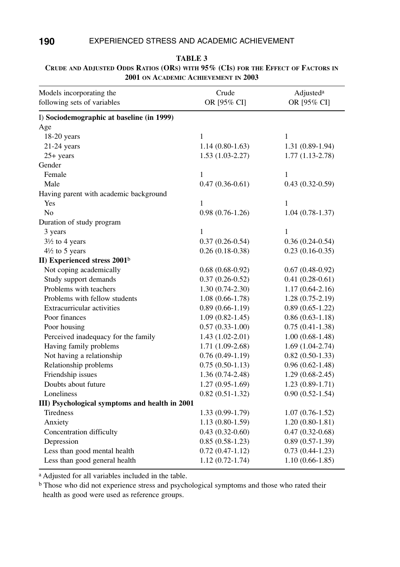| Models incorporating the<br>following sets of variables | Crude<br>OR [95% CI] | Adjusted <sup>a</sup><br>OR [95% CI] |  |
|---------------------------------------------------------|----------------------|--------------------------------------|--|
|                                                         |                      |                                      |  |
| I) Sociodemographic at baseline (in 1999)               |                      |                                      |  |
| Age                                                     |                      |                                      |  |
| $18-20$ years                                           | 1                    | $\mathbf{1}$                         |  |
| $21-24$ years                                           | $1.14(0.80-1.63)$    | $1.31(0.89-1.94)$                    |  |
| $25+$ years                                             | $1.53(1.03-2.27)$    | $1.77(1.13-2.78)$                    |  |
| Gender                                                  |                      |                                      |  |
| Female                                                  | 1                    | 1                                    |  |
| Male                                                    | $0.47(0.36-0.61)$    | $0.43(0.32-0.59)$                    |  |
| Having parent with academic background                  |                      |                                      |  |
| Yes                                                     | 1                    | 1                                    |  |
| N <sub>0</sub>                                          | $0.98(0.76-1.26)$    | $1.04(0.78-1.37)$                    |  |
| Duration of study program                               |                      |                                      |  |
| 3 years                                                 | 1                    | $\mathbf{1}$                         |  |
| $3\frac{1}{2}$ to 4 years                               | $0.37(0.26-0.54)$    | $0.36(0.24-0.54)$                    |  |
| $4\frac{1}{2}$ to 5 years                               | $0.26(0.18-0.38)$    | $0.23(0.16-0.35)$                    |  |
| II) Experienced stress 2001b                            |                      |                                      |  |
| Not coping academically                                 | $0.68(0.68-0.92)$    | $0.67(0.48-0.92)$                    |  |
| Study support demands                                   | $0.37(0.26-0.52)$    | $0.41(0.28-0.61)$                    |  |
| Problems with teachers                                  | $1.30(0.74-2.30)$    | $1.17(0.64 - 2.16)$                  |  |
| Problems with fellow students                           | $1.08(0.66-1.78)$    | $1.28(0.75-2.19)$                    |  |
| <b>Extracurricular activities</b>                       | $0.89(0.66-1.19)$    | $0.89(0.65-1.22)$                    |  |
| Poor finances                                           | $1.09(0.82 - 1.45)$  | $0.86(0.63-1.18)$                    |  |
| Poor housing                                            | $0.57(0.33-1.00)$    | $0.75(0.41-1.38)$                    |  |
| Perceived inadequacy for the family                     | $1.43(1.02-2.01)$    | $1.00(0.68-1.48)$                    |  |
| Having family problems                                  | 1.71 (1.09-2.68)     | $1.69(1.04-2.74)$                    |  |
| Not having a relationship                               | $0.76(0.49-1.19)$    | $0.82(0.50-1.33)$                    |  |
| Relationship problems                                   | $0.75(0.50-1.13)$    | $0.96(0.62 - 1.48)$                  |  |
| Friendship issues                                       | $1.36(0.74-2.48)$    | $1.29(0.68-2.45)$                    |  |
| Doubts about future                                     | $1.27(0.95-1.69)$    | $1.23(0.89-1.71)$                    |  |
| Loneliness                                              | $0.82(0.51-1.32)$    | $0.90(0.52 - 1.54)$                  |  |
| III) Psychological symptoms and health in 2001          |                      |                                      |  |
| Tiredness                                               | $1.33(0.99-1.79)$    | $1.07(0.76-1.52)$                    |  |
| Anxiety                                                 | $1.13(0.80-1.59)$    | $1.20(0.80-1.81)$                    |  |
| Concentration difficulty                                | $0.43(0.32-0.60)$    | $0.47(0.32-0.68)$                    |  |
| Depression                                              | $0.85(0.58-1.23)$    | $0.89(0.57-1.39)$                    |  |
| Less than good mental health                            | $0.72(0.47-1.12)$    | $0.73(0.44-1.23)$                    |  |
| Less than good general health                           | $1.12(0.72 - 1.74)$  | $1.10(0.66-1.85)$                    |  |

**Table 3 Crude and Adjusted Odds Ratios (ORs) with 95% (CIs) for the Effect of Factors in 2001 on Academic Achievement in 2003**

a Adjusted for all variables included in the table.

b Those who did not experience stress and psychological symptoms and those who rated their health as good were used as reference groups.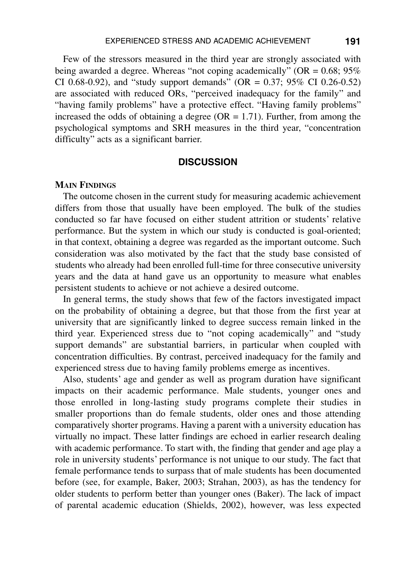Few of the stressors measured in the third year are strongly associated with being awarded a degree. Whereas "not coping academically" ( $OR = 0.68$ ; 95%) CI 0.68-0.92), and "study support demands" (OR =  $0.37:95\%$  CI 0.26-0.52) are associated with reduced ORs, "perceived inadequacy for the family" and "having family problems" have a protective effect. "Having family problems" increased the odds of obtaining a degree  $(OR = 1.71)$ . Further, from among the psychological symptoms and SRH measures in the third year, "concentration difficulty" acts as a significant barrier.

## **DISCUSSION**

## **Main Findings**

The outcome chosen in the current study for measuring academic achievement differs from those that usually have been employed. The bulk of the studies conducted so far have focused on either student attrition or students' relative performance. But the system in which our study is conducted is goal-oriented; in that context, obtaining a degree was regarded as the important outcome. Such consideration was also motivated by the fact that the study base consisted of students who already had been enrolled full-time for three consecutive university years and the data at hand gave us an opportunity to measure what enables persistent students to achieve or not achieve a desired outcome.

In general terms, the study shows that few of the factors investigated impact on the probability of obtaining a degree, but that those from the first year at university that are significantly linked to degree success remain linked in the third year. Experienced stress due to "not coping academically" and "study support demands" are substantial barriers, in particular when coupled with concentration difficulties. By contrast, perceived inadequacy for the family and experienced stress due to having family problems emerge as incentives.

Also, students' age and gender as well as program duration have significant impacts on their academic performance. Male students, younger ones and those enrolled in long-lasting study programs complete their studies in smaller proportions than do female students, older ones and those attending comparatively shorter programs. Having a parent with a university education has virtually no impact. These latter findings are echoed in earlier research dealing with academic performance. To start with, the finding that gender and age play a role in university students' performance is not unique to our study. The fact that female performance tends to surpass that of male students has been documented before (see, for example, Baker, 2003; Strahan, 2003), as has the tendency for older students to perform better than younger ones (Baker). The lack of impact of parental academic education (Shields, 2002), however, was less expected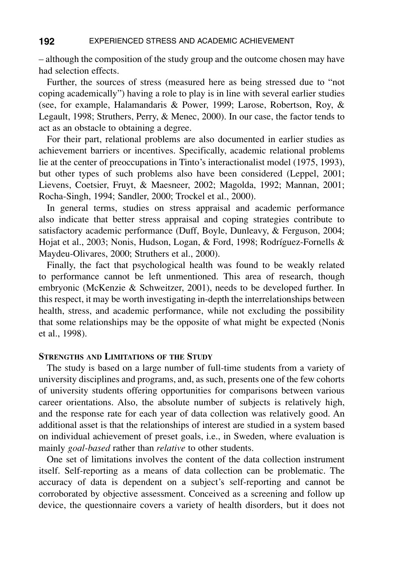– although the composition of the study group and the outcome chosen may have had selection effects.

Further, the sources of stress (measured here as being stressed due to "not coping academically") having a role to play is in line with several earlier studies (see, for example, Halamandaris & Power, 1999; Larose, Robertson, Roy, & Legault, 1998; Struthers, Perry, & Menec, 2000). In our case, the factor tends to act as an obstacle to obtaining a degree.

For their part, relational problems are also documented in earlier studies as achievement barriers or incentives. Specifically, academic relational problems lie at the center of preoccupations in Tinto's interactionalist model (1975, 1993), but other types of such problems also have been considered (Leppel, 2001; Lievens, Coetsier, Fruyt, & Maesneer, 2002; Magolda, 1992; Mannan, 2001; Rocha-Singh, 1994; Sandler, 2000; Trockel et al., 2000).

In general terms, studies on stress appraisal and academic performance also indicate that better stress appraisal and coping strategies contribute to satisfactory academic performance (Duff, Boyle, Dunleavy, & Ferguson, 2004; Hojat et al., 2003; Nonis, Hudson, Logan, & Ford, 1998; Rodríguez-Fornells & Maydeu-Olivares, 2000; Struthers et al., 2000).

Finally, the fact that psychological health was found to be weakly related to performance cannot be left unmentioned. This area of research, though embryonic (McKenzie & Schweitzer, 2001), needs to be developed further. In this respect, it may be worth investigating in-depth the interrelationships between health, stress, and academic performance, while not excluding the possibility that some relationships may be the opposite of what might be expected (Nonis et al., 1998).

#### **Strengths and Limitations of the Study**

The study is based on a large number of full-time students from a variety of university disciplines and programs, and, as such, presents one of the few cohorts of university students offering opportunities for comparisons between various career orientations. Also, the absolute number of subjects is relatively high, and the response rate for each year of data collection was relatively good. An additional asset is that the relationships of interest are studied in a system based on individual achievement of preset goals, i.e., in Sweden, where evaluation is mainly *goal-based* rather than *relative* to other students.

One set of limitations involves the content of the data collection instrument itself. Self-reporting as a means of data collection can be problematic. The accuracy of data is dependent on a subject's self-reporting and cannot be corroborated by objective assessment. Conceived as a screening and follow up device, the questionnaire covers a variety of health disorders, but it does not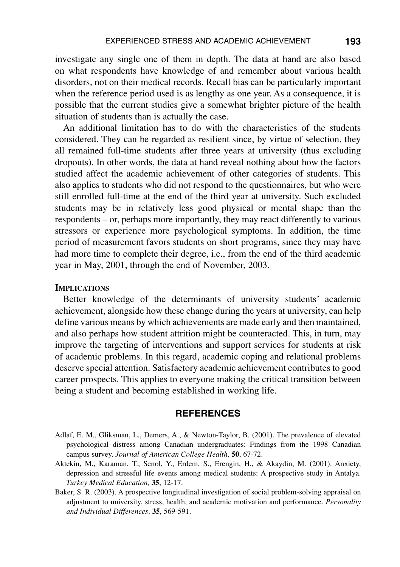investigate any single one of them in depth. The data at hand are also based on what respondents have knowledge of and remember about various health disorders, not on their medical records. Recall bias can be particularly important when the reference period used is as lengthy as one year. As a consequence, it is possible that the current studies give a somewhat brighter picture of the health situation of students than is actually the case.

An additional limitation has to do with the characteristics of the students considered. They can be regarded as resilient since, by virtue of selection, they all remained full-time students after three years at university (thus excluding dropouts). In other words, the data at hand reveal nothing about how the factors studied affect the academic achievement of other categories of students. This also applies to students who did not respond to the questionnaires, but who were still enrolled full-time at the end of the third year at university. Such excluded students may be in relatively less good physical or mental shape than the respondents – or, perhaps more importantly, they may react differently to various stressors or experience more psychological symptoms. In addition, the time period of measurement favors students on short programs, since they may have had more time to complete their degree, i.e., from the end of the third academic year in May, 2001, through the end of November, 2003.

#### **Implications**

Better knowledge of the determinants of university students' academic achievement, alongside how these change during the years at university, can help define various means by which achievements are made early and then maintained, and also perhaps how student attrition might be counteracted. This, in turn, may improve the targeting of interventions and support services for students at risk of academic problems. In this regard, academic coping and relational problems deserve special attention. Satisfactory academic achievement contributes to good career prospects. This applies to everyone making the critical transition between being a student and becoming established in working life.

## **REFERENCES**

- Adlaf, E. M., Gliksman, L., Demers, A., & Newton-Taylor, B. (2001). The prevalence of elevated psychological distress among Canadian undergraduates: Findings from the 1998 Canadian campus survey. *Journal of American College Health,* **50**, 67-72.
- Aktekin, M., Karaman, T., Senol, Y., Erdem, S., Erengin, H., & Akaydin, M. (2001). Anxiety, depression and stressful life events among medical students: A prospective study in Antalya. *Turkey Medical Education,* **35**, 12-17.
- Baker, S. R. (2003). A prospective longitudinal investigation of social problem-solving appraisal on adjustment to university, stress, health, and academic motivation and performance. *Personality and Individual Differences,* **35**, 569-591.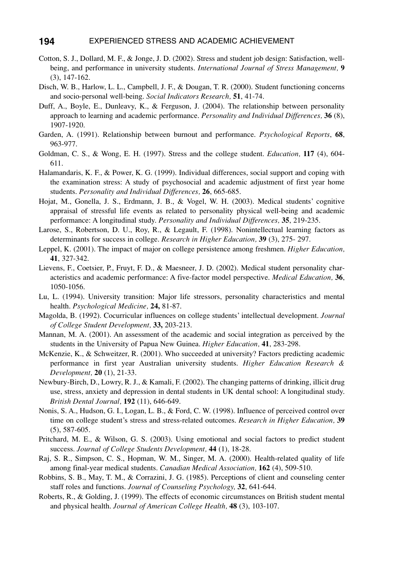- Cotton, S. J., Dollard, M. F., & Jonge, J. D. (2002). Stress and student job design: Satisfaction, wellbeing, and performance in university students. *International Journal of Stress Management,* **9**  (3), 147-162.
- Disch, W. B., Harlow, L. L., Campbell, J. F., & Dougan, T. R. (2000). Student functioning concerns and socio-personal well-being. *Social Indicators Research,* **51**, 41-74.
- Duff, A., Boyle, E., Dunleavy, K., & Ferguson, J. (2004). The relationship between personality approach to learning and academic performance. *Personality and Individual Differences,* **36** (8), 1907-1920.
- Garden, A. (1991). Relationship between burnout and performance. *Psychological Reports*, **68**, 963-977.
- Goldman, C. S., & Wong, E. H. (1997). Stress and the college student. *Education,* **117** (4), 604- 611.
- Halamandaris, K. F., & Power, K. G. (1999). Individual differences, social support and coping with the examination stress: A study of psychosocial and academic adjustment of first year home students. *Personality and Individual Differences,* **26**, 665-685.
- Hojat, M., Gonella, J. S., Erdmann, J. B., & Vogel, W. H. (2003). Medical students' cognitive appraisal of stressful life events as related to personality physical well-being and academic performance: A longitudinal study. *Personality and Individual Differences,* **35**, 219-235.
- Larose, S., Robertson, D. U., Roy, R., & Legault, F. (1998). Nonintellectual learning factors as determinants for success in college. *Research in Higher Education,* **39** (3), 275- 297.
- Leppel, K. (2001). The impact of major on college persistence among freshmen. *Higher Education,*  **41**, 327-342.
- Lievens, F., Coetsier, P., Fruyt, F. D., & Maesneer, J. D. (2002). Medical student personality characteristics and academic performance: A five-factor model perspective. *Medical Education,* **36**, 1050-1056.
- Lu, L. (1994). University transition: Major life stressors, personality characteristics and mental health. *Psychological Medicine,* **24,** 81-87.
- Magolda, B. (1992). Cocurricular influences on college students' intellectual development. *Journal of College Student Development,* **33,** 203-213.
- Mannan, M. A. (2001). An assessment of the academic and social integration as perceived by the students in the University of Papua New Guinea. *Higher Education,* **41**, 283-298.
- McKenzie, K., & Schweitzer, R. (2001). Who succeeded at university? Factors predicting academic performance in first year Australian university students. *Higher Education Research & Development,* **20** (1), 21-33.
- Newbury-Birch, D., Lowry, R. J., & Kamali, F. (2002). The changing patterns of drinking, illicit drug use, stress, anxiety and depression in dental students in UK dental school: A longitudinal study. *British Dental Journal,* **192** (11), 646-649.
- Nonis, S. A., Hudson, G. I., Logan, L. B., & Ford, C. W. (1998). Influence of perceived control over time on college student's stress and stress-related outcomes. *Research in Higher Education,* **39**  (5), 587-605.
- Pritchard, M. E., & Wilson, G. S. (2003). Using emotional and social factors to predict student success. *Journal of College Students Development,* **44** (1), 18-28.
- Raj, S. R., Simpson, C. S., Hopman, W. M., Singer, M. A. (2000). Health-related quality of life among final-year medical students. *Canadian Medical Association,* **162** (4), 509-510.
- Robbins, S. B., May, T. M., & Corrazini, J. G. (1985). Perceptions of client and counseling center staff roles and functions. *Journal of Counseling Psychology,* **32**, 641-644.
- Roberts, R., & Golding, J. (1999). The effects of economic circumstances on British student mental and physical health. *Journal of American College Health,* **48** (3), 103-107.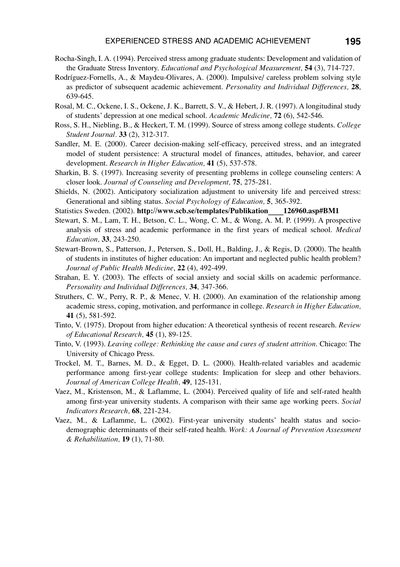- Rocha-Singh, I. A. (1994). Perceived stress among graduate students: Development and validation of the Graduate Stress Inventory. *Educational and Psychological Measurement,* **54** (3), 714-727.
- Rodríguez-Fornells, A., & Maydeu-Olivares, A. (2000). Impulsive/ careless problem solving style as predictor of subsequent academic achievement. *Personality and Individual Differences,* **28**, 639-645.
- Rosal, M. C., Ockene, I. S., Ockene, J. K., Barrett, S. V., & Hebert, J. R. (1997). A longitudinal study of students' depression at one medical school. *Academic Medicine,* **72** (6), 542-546.
- Ross, S. H., Niebling, B., & Heckert, T. M. (1999). Source of stress among college students. *College Student Journal.* **33** (2), 312-317.
- Sandler, M. E. (2000). Career decision-making self-efficacy, perceived stress, and an integrated model of student persistence: A structural model of finances, attitudes, behavior, and career development. *Research in Higher Education,* **41** (5), 537-578.
- Sharkin, B. S. (1997). Increasing severity of presenting problems in college counseling centers: A closer look. *Journal of Counseling and Development,* **75**, 275-281.
- Shields, N. (2002). Anticipatory socialization adjustment to university life and perceived stress: Generational and sibling status. *Social Psychology of Education,* **5**, 365-392.
- Statistics Sweden. (2002). **http://www.scb.se/templates/Publikation\_\_\_\_126960.asp#BM1**
- Stewart, S. M., Lam, T. H., Betson, C. L., Wong, C. M., & Wong, A. M. P. (1999). A prospective analysis of stress and academic performance in the first years of medical school. *Medical Education,* **33**, 243-250.
- Stewart-Brown, S., Patterson, J., Petersen, S., Doll, H., Balding, J., & Regis, D. (2000). The health of students in institutes of higher education: An important and neglected public health problem? *Journal of Public Health Medicine*, **22** (4), 492-499.
- Strahan, E. Y. (2003). The effects of social anxiety and social skills on academic performance. *Personality and Individual Differences,* **34**, 347-366.
- Struthers, C. W., Perry, R. P., & Menec, V. H. (2000). An examination of the relationship among academic stress, coping, motivation, and performance in college. *Research in Higher Education,*  **41** (5), 581-592.
- Tinto, V. (1975). Dropout from higher education: A theoretical synthesis of recent research. *Review of Educational Research,* **45** (1), 89-125.
- Tinto, V. (1993). *Leaving college: Rethinking the cause and cures of student attrition*. Chicago: The University of Chicago Press.
- Trockel, M. T., Barnes, M. D., & Egget, D. L. (2000). Health-related variables and academic performance among first-year college students: Implication for sleep and other behaviors. *Journal of American College Health,* **49**, 125-131.
- Vaez, M., Kristenson, M., & Laflamme, L. (2004). Perceived quality of life and self-rated health among first-year university students. A comparison with their same age working peers. *Social Indicators Research,* **68**, 221-234.
- Vaez, M., & Laflamme, L. (2002). First-year university students' health status and sociodemographic determinants of their self-rated health. *Work: A Journal of Prevention Assessment & Rehabilitation,* **19** (1), 71-80.